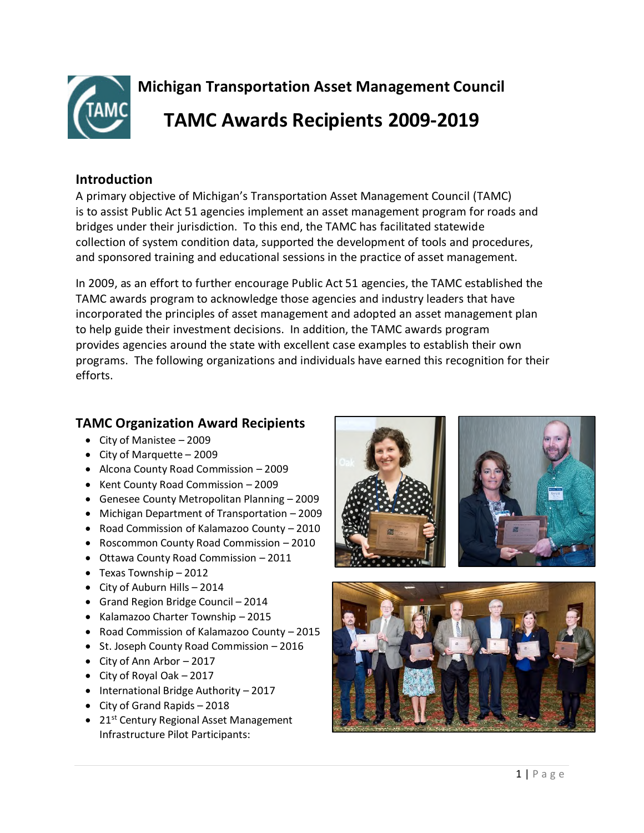

**Michigan Transportation Asset Management Council TAMC Awards Recipients 2009-2019** 

## **Introduction**

A primary objective of Michigan's Transportation Asset Management Council (TAMC) is to assist Public Act 51 agencies implement an asset management program for roads and bridges under their jurisdiction. To this end, the TAMC has facilitated statewide collection of system condition data, supported the development of tools and procedures, and sponsored training and educational sessions in the practice of asset management.

In 2009, as an effort to further encourage Public Act 51 agencies, the TAMC established the TAMC awards program to acknowledge those agencies and industry leaders that have incorporated the principles of asset management and adopted an asset management plan to help guide their investment decisions. In addition, the TAMC awards program provides agencies around the state with excellent case examples to establish their own programs. The following organizations and individuals have earned this recognition for their efforts.

## **TAMC Organization Award Recipients**

- City of Manistee 2009
- City of Marquette 2009
- Alcona County Road Commission 2009
- Kent County Road Commission 2009
- Genesee County Metropolitan Planning 2009
- Michigan Department of Transportation 2009
- Road Commission of Kalamazoo County 2010
- Roscommon County Road Commission 2010
- Ottawa County Road Commission 2011
- Texas Township 2012
- City of Auburn Hills 2014
- Grand Region Bridge Council 2014
- Kalamazoo Charter Township 2015
- Road Commission of Kalamazoo County 2015
- St. Joseph County Road Commission 2016
- $\bullet$  City of Ann Arbor 2017
- City of Royal Oak 2017
- $\bullet$  International Bridge Authority 2017
- City of Grand Rapids 2018
- $21^{st}$  Century Regional Asset Management Infrastructure Pilot Participants:





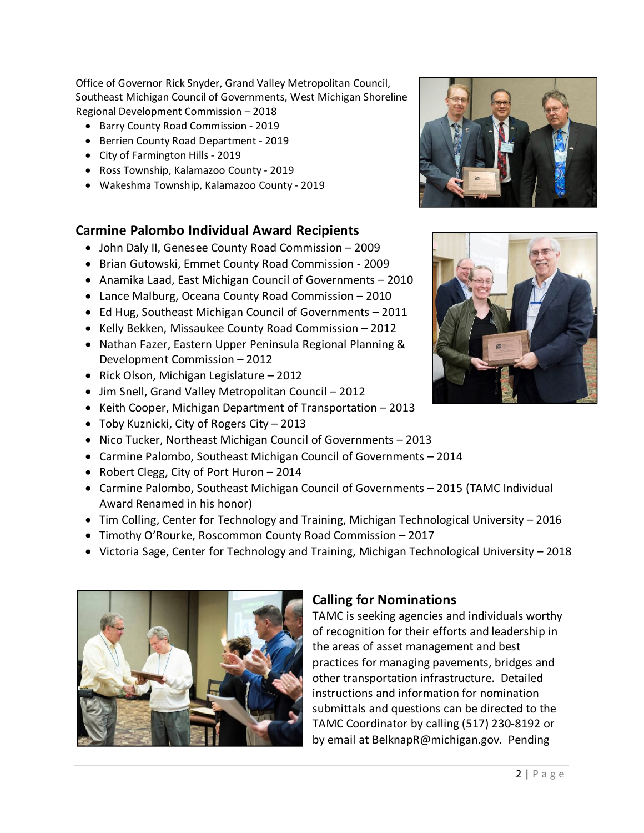Office of Governor Rick Snyder, Grand Valley Metropolitan Council, Southeast Michigan Council of Governments, West Michigan Shoreline Regional Development Commission – 2018

- Barry County Road Commission 2019
- Berrien County Road Department 2019
- City of Farmington Hills 2019
- Ross Township, Kalamazoo County 2019
- Wakeshma Township, Kalamazoo County 2019

## **Carmine Palombo Individual Award Recipients**

- John Daly II, Genesee County Road Commission 2009
- Brian Gutowski, Emmet County Road Commission 2009
- Anamika Laad, East Michigan Council of Governments 2010
- Lance Malburg, Oceana County Road Commission 2010
- Ed Hug, Southeast Michigan Council of Governments 2011
- Kelly Bekken, Missaukee County Road Commission 2012
- Nathan Fazer, Eastern Upper Peninsula Regional Planning & Development Commission – 2012
- Rick Olson, Michigan Legislature 2012
- Jim Snell, Grand Valley Metropolitan Council 2012
- Keith Cooper, Michigan Department of Transportation 2013
- Toby Kuznicki, City of Rogers City 2013
- Nico Tucker, Northeast Michigan Council of Governments 2013
- Carmine Palombo, Southeast Michigan Council of Governments 2014
- Robert Clegg, City of Port Huron 2014
- Carmine Palombo, Southeast Michigan Council of Governments 2015 (TAMC Individual Award Renamed in his honor)
- Tim Colling, Center for Technology and Training, Michigan Technological University 2016
- Timothy O'Rourke, Roscommon County Road Commission 2017
- Victoria Sage, Center for Technology and Training, Michigan Technological University 2018



## **Calling for Nominations**

TAMC is seeking agencies and individuals worthy of recognition for their efforts and leadership in the areas of asset management and best practices for managing pavements, bridges and other transportation infrastructure. Detailed instructions and information for nomination submittals and questions can be directed to the TAMC Coordinator by calling (517) 230-8192 or by email at BelknapR@michigan.gov. Pending